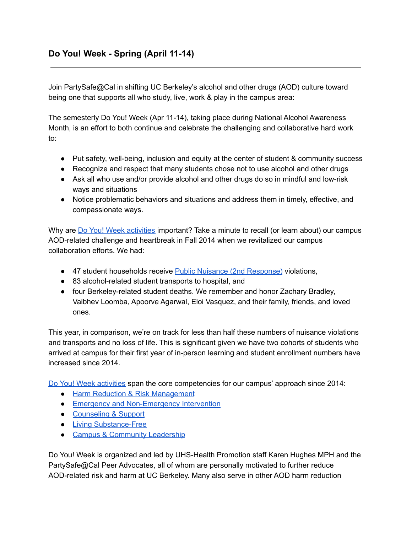Join PartySafe@Cal in shifting UC Berkeley's alcohol and other drugs (AOD) culture toward being one that supports all who study, live, work & play in the campus area:

The semesterly Do You! Week (Apr 11-14), taking place during National Alcohol Awareness Month, is an effort to both continue and celebrate the challenging and collaborative hard work to:

- Put safety, well-being, inclusion and equity at the center of student & community success
- Recognize and respect that many students chose not to use alcohol and other drugs
- Ask all who use and/or provide alcohol and other drugs do so in mindful and low-risk ways and situations
- Notice problematic behaviors and situations and address them in timely, effective, and compassionate ways.

Why are Do You! Week [activities](https://drive.google.com/file/d/1YaopWWsn3BzrFa_DLygPj60z1xxBz7cH/view?usp=sharing) important? Take a minute to recall (or learn about) our campus AOD-related challenge and heartbreak in Fall 2014 when we revitalized our campus collaboration efforts. We had:

- 47 student households receive Public Nuisance (2nd [Response\)](https://uhs.berkeley.edu/sites/default/files/hp-psafe-avoidtrouble.pdf) violations,
- 83 alcohol-related student transports to hospital, and
- four Berkeley-related student deaths. We remember and honor Zachary Bradley, Vaibhev Loomba, Apoorve Agarwal, Eloi Vasquez, and their family, friends, and loved ones.

This year, in comparison, we're on track for less than half these numbers of nuisance violations and transports and no loss of life. This is significant given we have two cohorts of students who arrived at campus for their first year of in-person learning and student enrollment numbers have increased since 2014.

Do You! Week [activities](https://drive.google.com/file/d/1YaopWWsn3BzrFa_DLygPj60z1xxBz7cH/view?usp=sharing) span the core competencies for our campus' approach since 2014:

- Harm Reduction & Risk [Management](https://uhs.berkeley.edu/psafe)
- Emergency and [Non-Emergency](https://uhs.berkeley.edu/health-topics/alcohol-and-other-drugs/emergency-non-emergency-interventions) Intervention
- [Counseling](https://uhs.berkeley.edu/counseling/social-services/specialty-counseling/alcohol-and-other-drugs) & Support
- Living [Substance-Free](https://uhs.berkeley.edu/health-topics/alcohol-and-other-drugs/living-substance-free)
- Campus & [Community](https://uhs.berkeley.edu/health-topics/alcohol-and-other-drugs/campus-community-leadership) Leadership

Do You! Week is organized and led by UHS-Health Promotion staff Karen Hughes MPH and the PartySafe@Cal Peer Advocates, all of whom are personally motivated to further reduce AOD-related risk and harm at UC Berkeley. Many also serve in other AOD harm reduction